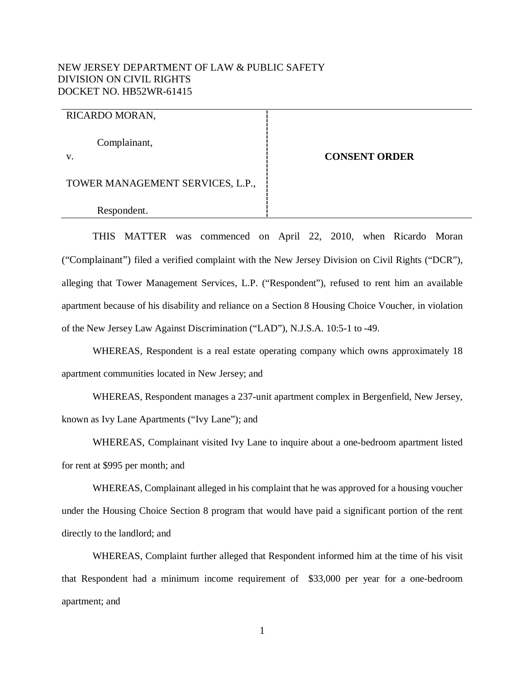# NEW JERSEY DEPARTMENT OF LAW & PUBLIC SAFETY DIVISION ON CIVIL RIGHTS DOCKET NO. HB52WR-61415

## RICARDO MORAN,

Complainant,

v.

## **CONSENT ORDER**

TOWER MANAGEMENT SERVICES, L.P.,

Respondent.

THIS MATTER was commenced on April 22, 2010, when Ricardo Moran ("Complainant") filed a verified complaint with the New Jersey Division on Civil Rights ("DCR"), alleging that Tower Management Services, L.P. ("Respondent"), refused to rent him an available apartment because of his disability and reliance on a Section 8 Housing Choice Voucher, in violation of the New Jersey Law Against Discrimination ("LAD"), N.J.S.A. 10:5-1 to -49.

WHEREAS, Respondent is a real estate operating company which owns approximately 18 apartment communities located in New Jersey; and

WHEREAS, Respondent manages a 237-unit apartment complex in Bergenfield, New Jersey, known as Ivy Lane Apartments ("Ivy Lane"); and

WHEREAS, Complainant visited Ivy Lane to inquire about a one-bedroom apartment listed for rent at \$995 per month; and

WHEREAS, Complainant alleged in his complaint that he was approved for a housing voucher under the Housing Choice Section 8 program that would have paid a significant portion of the rent directly to the landlord; and

WHEREAS, Complaint further alleged that Respondent informed him at the time of his visit that Respondent had a minimum income requirement of \$33,000 per year for a one-bedroom apartment; and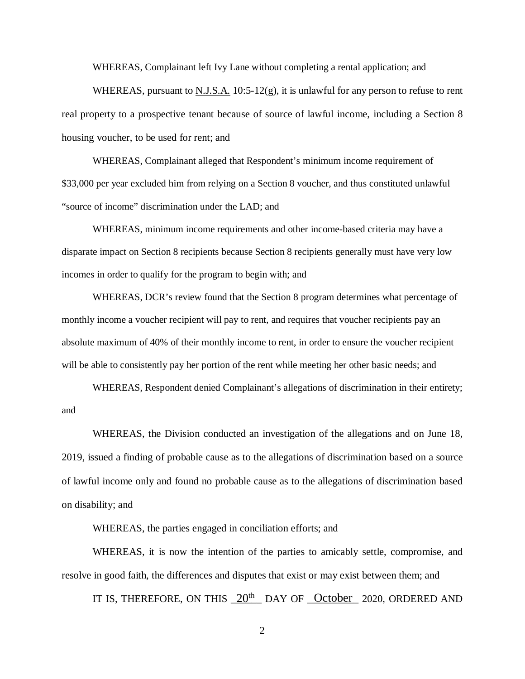WHEREAS, Complainant left Ivy Lane without completing a rental application; and

WHEREAS, pursuant to  $N.J.S.A.$  10:5-12(g), it is unlawful for any person to refuse to rent real property to a prospective tenant because of source of lawful income, including a Section 8 housing voucher, to be used for rent; and

WHEREAS, Complainant alleged that Respondent's minimum income requirement of \$33,000 per year excluded him from relying on a Section 8 voucher, and thus constituted unlawful "source of income" discrimination under the LAD; and

WHEREAS, minimum income requirements and other income-based criteria may have a disparate impact on Section 8 recipients because Section 8 recipients generally must have very low incomes in order to qualify for the program to begin with; and

WHEREAS, DCR's review found that the Section 8 program determines what percentage of monthly income a voucher recipient will pay to rent, and requires that voucher recipients pay an absolute maximum of 40% of their monthly income to rent, in order to ensure the voucher recipient will be able to consistently pay her portion of the rent while meeting her other basic needs; and

WHEREAS, Respondent denied Complainant's allegations of discrimination in their entirety; and

WHEREAS, the Division conducted an investigation of the allegations and on June 18, 2019, issued a finding of probable cause as to the allegations of discrimination based on a source of lawful income only and found no probable cause as to the allegations of discrimination based on disability; and

WHEREAS, the parties engaged in conciliation efforts; and

WHEREAS, it is now the intention of the parties to amicably settle, compromise, and resolve in good faith, the differences and disputes that exist or may exist between them; and

IT IS, THEREFORE, ON THIS  $20^{th}$  DAY OF October 2020, ORDERED AND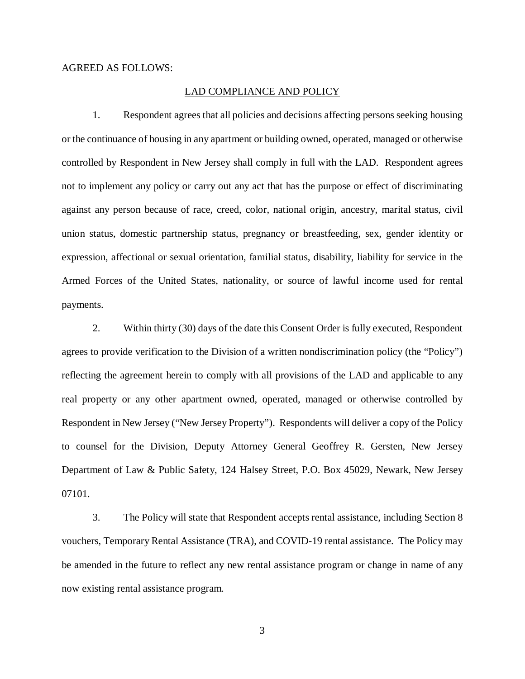#### AGREED AS FOLLOWS:

#### LAD COMPLIANCE AND POLICY

1. Respondent agrees that all policies and decisions affecting persons seeking housing or the continuance of housing in any apartment or building owned, operated, managed or otherwise controlled by Respondent in New Jersey shall comply in full with the LAD. Respondent agrees not to implement any policy or carry out any act that has the purpose or effect of discriminating against any person because of race, creed, color, national origin, ancestry, marital status, civil union status, domestic partnership status, pregnancy or breastfeeding, sex, gender identity or expression, affectional or sexual orientation, familial status, disability, liability for service in the Armed Forces of the United States, nationality, or source of lawful income used for rental payments.

2. Within thirty (30) days of the date this Consent Order is fully executed, Respondent agrees to provide verification to the Division of a written nondiscrimination policy (the "Policy") reflecting the agreement herein to comply with all provisions of the LAD and applicable to any real property or any other apartment owned, operated, managed or otherwise controlled by Respondent in New Jersey ("New Jersey Property"). Respondents will deliver a copy of the Policy to counsel for the Division, Deputy Attorney General Geoffrey R. Gersten, New Jersey Department of Law & Public Safety, 124 Halsey Street, P.O. Box 45029, Newark, New Jersey 07101.

3. The Policy will state that Respondent accepts rental assistance, including Section 8 vouchers, Temporary Rental Assistance (TRA), and COVID-19 rental assistance. The Policy may be amended in the future to reflect any new rental assistance program or change in name of any now existing rental assistance program.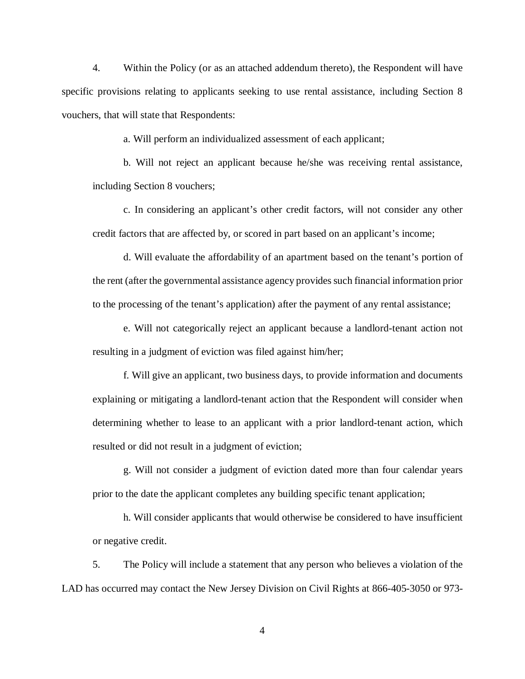4. Within the Policy (or as an attached addendum thereto), the Respondent will have specific provisions relating to applicants seeking to use rental assistance, including Section 8 vouchers, that will state that Respondents:

a. Will perform an individualized assessment of each applicant;

b. Will not reject an applicant because he/she was receiving rental assistance, including Section 8 vouchers;

c. In considering an applicant's other credit factors, will not consider any other credit factors that are affected by, or scored in part based on an applicant's income;

d. Will evaluate the affordability of an apartment based on the tenant's portion of the rent (after the governmental assistance agency provides such financial information prior to the processing of the tenant's application) after the payment of any rental assistance;

e. Will not categorically reject an applicant because a landlord-tenant action not resulting in a judgment of eviction was filed against him/her;

f. Will give an applicant, two business days, to provide information and documents explaining or mitigating a landlord-tenant action that the Respondent will consider when determining whether to lease to an applicant with a prior landlord-tenant action, which resulted or did not result in a judgment of eviction;

g. Will not consider a judgment of eviction dated more than four calendar years prior to the date the applicant completes any building specific tenant application;

h. Will consider applicants that would otherwise be considered to have insufficient or negative credit.

5. The Policy will include a statement that any person who believes a violation of the LAD has occurred may contact the New Jersey Division on Civil Rights at 866-405-3050 or 973-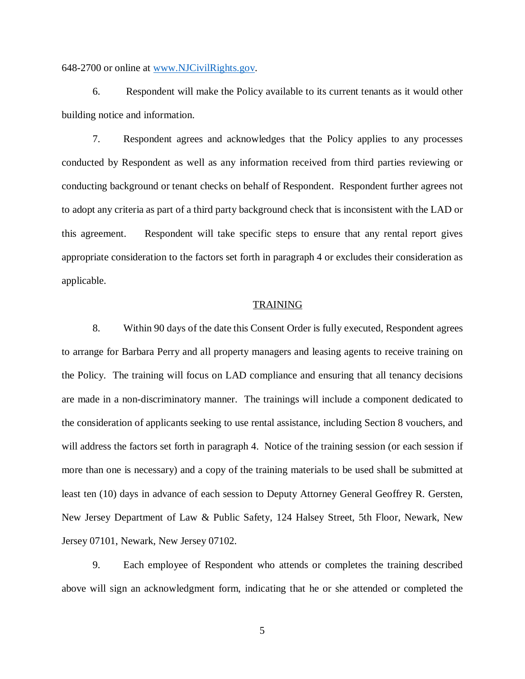648-2700 or online at www.NJCivilRights.gov.

6. Respondent will make the Policy available to its current tenants as it would other building notice and information.

7. Respondent agrees and acknowledges that the Policy applies to any processes conducted by Respondent as well as any information received from third parties reviewing or conducting background or tenant checks on behalf of Respondent. Respondent further agrees not to adopt any criteria as part of a third party background check that is inconsistent with the LAD or this agreement. Respondent will take specific steps to ensure that any rental report gives appropriate consideration to the factors set forth in paragraph 4 or excludes their consideration as applicable.

#### TRAINING

8. Within 90 days of the date this Consent Order is fully executed, Respondent agrees to arrange for Barbara Perry and all property managers and leasing agents to receive training on the Policy. The training will focus on LAD compliance and ensuring that all tenancy decisions are made in a non-discriminatory manner. The trainings will include a component dedicated to the consideration of applicants seeking to use rental assistance, including Section 8 vouchers, and will address the factors set forth in paragraph 4. Notice of the training session (or each session if more than one is necessary) and a copy of the training materials to be used shall be submitted at least ten (10) days in advance of each session to Deputy Attorney General Geoffrey R. Gersten, New Jersey Department of Law & Public Safety, 124 Halsey Street, 5th Floor, Newark, New Jersey 07101, Newark, New Jersey 07102.

9. Each employee of Respondent who attends or completes the training described above will sign an acknowledgment form, indicating that he or she attended or completed the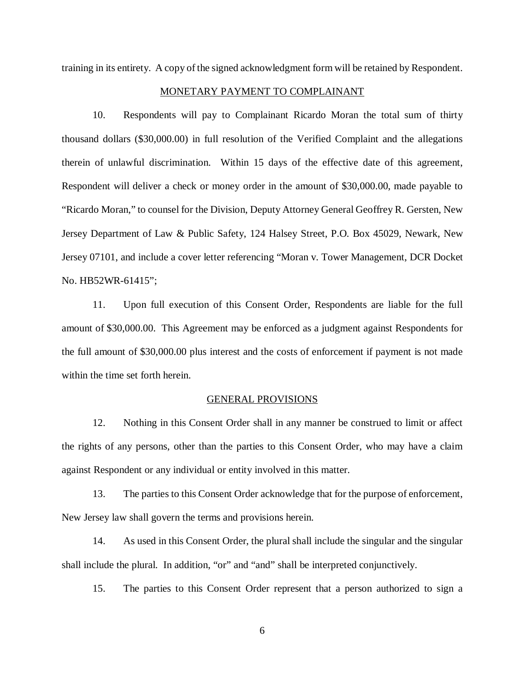training in its entirety. A copy of the signed acknowledgment form will be retained by Respondent.

## MONETARY PAYMENT TO COMPLAINANT

10. Respondents will pay to Complainant Ricardo Moran the total sum of thirty thousand dollars (\$30,000.00) in full resolution of the Verified Complaint and the allegations therein of unlawful discrimination. Within 15 days of the effective date of this agreement, Respondent will deliver a check or money order in the amount of \$30,000.00, made payable to "Ricardo Moran," to counsel for the Division, Deputy Attorney General Geoffrey R. Gersten, New Jersey Department of Law & Public Safety, 124 Halsey Street, P.O. Box 45029, Newark, New Jersey 07101, and include a cover letter referencing "Moran v. Tower Management, DCR Docket No. HB52WR-61415";

11. Upon full execution of this Consent Order, Respondents are liable for the full amount of \$30,000.00. This Agreement may be enforced as a judgment against Respondents for the full amount of \$30,000.00 plus interest and the costs of enforcement if payment is not made within the time set forth herein.

#### GENERAL PROVISIONS

12. Nothing in this Consent Order shall in any manner be construed to limit or affect the rights of any persons, other than the parties to this Consent Order, who may have a claim against Respondent or any individual or entity involved in this matter.

13. The parties to this Consent Order acknowledge that for the purpose of enforcement, New Jersey law shall govern the terms and provisions herein.

14. As used in this Consent Order, the plural shall include the singular and the singular shall include the plural. In addition, "or" and "and" shall be interpreted conjunctively.

15. The parties to this Consent Order represent that a person authorized to sign a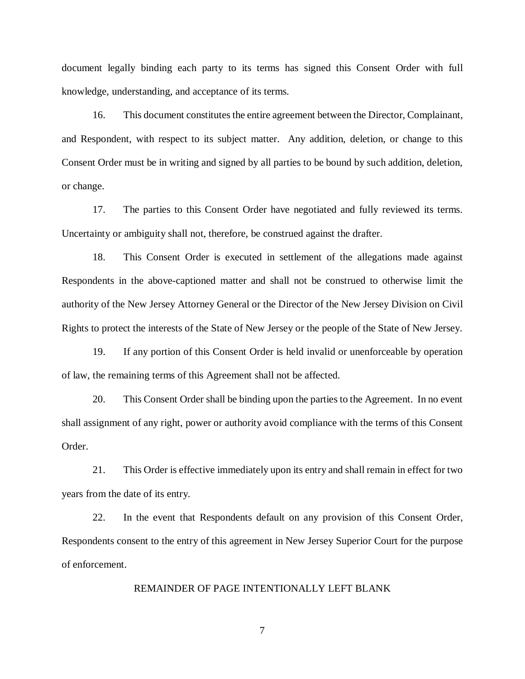document legally binding each party to its terms has signed this Consent Order with full knowledge, understanding, and acceptance of its terms.

16. This document constitutes the entire agreement between the Director, Complainant, and Respondent, with respect to its subject matter. Any addition, deletion, or change to this Consent Order must be in writing and signed by all parties to be bound by such addition, deletion, or change.

17. The parties to this Consent Order have negotiated and fully reviewed its terms. Uncertainty or ambiguity shall not, therefore, be construed against the drafter.

18. This Consent Order is executed in settlement of the allegations made against Respondents in the above-captioned matter and shall not be construed to otherwise limit the authority of the New Jersey Attorney General or the Director of the New Jersey Division on Civil Rights to protect the interests of the State of New Jersey or the people of the State of New Jersey.

19. If any portion of this Consent Order is held invalid or unenforceable by operation of law, the remaining terms of this Agreement shall not be affected.

20. This Consent Order shall be binding upon the parties to the Agreement. In no event shall assignment of any right, power or authority avoid compliance with the terms of this Consent Order.

21. This Order is effective immediately upon its entry and shall remain in effect for two years from the date of its entry.

22. In the event that Respondents default on any provision of this Consent Order, Respondents consent to the entry of this agreement in New Jersey Superior Court for the purpose of enforcement.

## REMAINDER OF PAGE INTENTIONALLY LEFT BLANK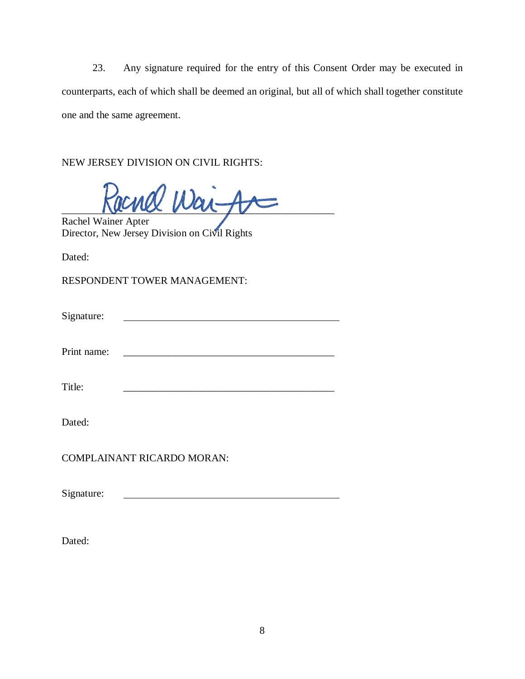23. Any signature required for the entry of this Consent Order may be executed in counterparts, each of which shall be deemed an original, but all of which shall together constitute one and the same agreement.

NEW JERSEY DIVISION ON CIVIL RIGHTS:

 $\text{rank}~\text{Wai}-$ 

Rachel Wainer Apter Director, New Jersey Division on Civil Rights

Dated:

RESPONDENT TOWER MANAGEMENT:

| Signature: |  |  |
|------------|--|--|
|            |  |  |

Print name:

Title:

Dated:

COMPLAINANT RICARDO MORAN:

Signature:

Dated: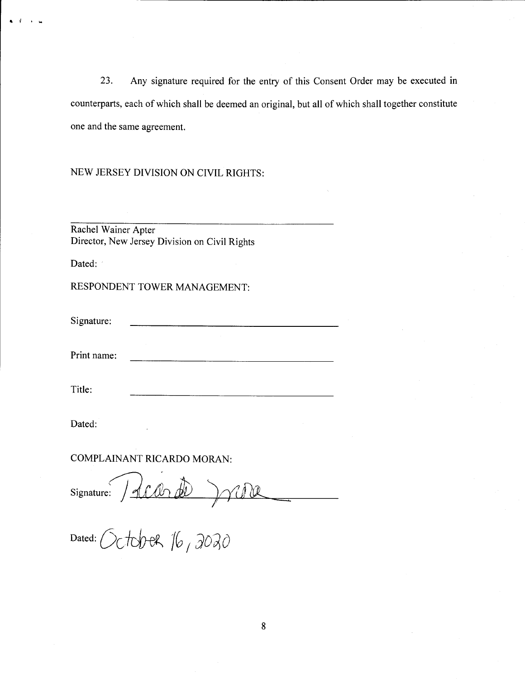23. Any signature required for the entry of this Consent Order may be executed in counterparts, each of which shall be deemed an original, but all of which shall together constitute one and the same agreement.

# NEW JERSEY DIVISION ON CIVIL RIGHTS:

Rachel Wainer Apter Director, New Jersey Division on Civil Rights

Dated:

RESPONDENT TOWER MANAGEMENT:

Signature:

Print name:

Title:

Dated:

# **COMPLAINANT RICARDO MORAN:**

Signature: Acorde )